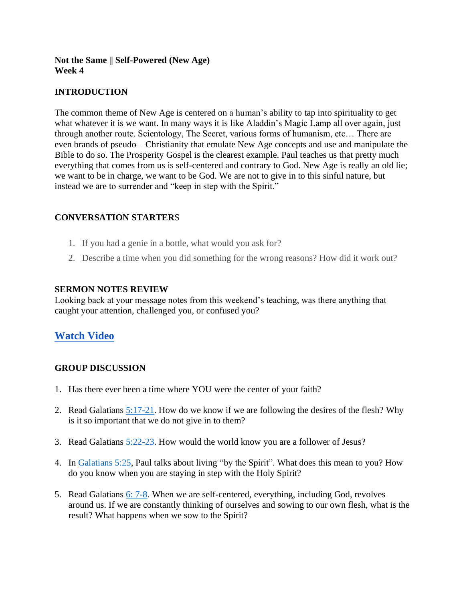## **Not the Same || Self-Powered (New Age) Week 4**

# **INTRODUCTION**

The common theme of New Age is centered on a human's ability to tap into spirituality to get what whatever it is we want. In many ways it is like Aladdin's Magic Lamp all over again, just through another route. Scientology, The Secret, various forms of humanism, etc… There are even brands of pseudo – Christianity that emulate New Age concepts and use and manipulate the Bible to do so. The Prosperity Gospel is the clearest example. Paul teaches us that pretty much everything that comes from us is self-centered and contrary to God. New Age is really an old lie; we want to be in charge, we want to be God. We are not to give in to this sinful nature, but instead we are to surrender and "keep in step with the Spirit."

### **CONVERSATION STARTER**S

- 1. If you had a genie in a bottle, what would you ask for?
- 2. Describe a time when you did something for the wrong reasons? How did it work out?

#### **SERMON NOTES REVIEW**

Looking back at your message notes from this weekend's teaching, was there anything that caught your attention, challenged you, or confused you?

# **[Watch Video](https://youtu.be/RAakGrriEXE)**

### **GROUP DISCUSSION**

- 1. Has there ever been a time where YOU were the center of your faith?
- 2. Read Galatians [5:17-21.](https://www.biblegateway.com/passage/?search=Galatians+5%3A17-21&version=NIV) How do we know if we are following the desires of the flesh? Why is it so important that we do not give in to them?
- 3. Read Galatians [5:22-23.](https://www.biblegateway.com/passage/?search=Galatians+5%3A22-23&version=NIV) How would the world know you are a follower of Jesus?
- 4. In [Galatians 5:25,](https://www.biblegateway.com/passage/?search=Galatians+5%3A25&version=NIV) Paul talks about living "by the Spirit". What does this mean to you? How do you know when you are staying in step with the Holy Spirit?
- 5. Read Galatians [6: 7-8.](https://www.biblegateway.com/passage/?search=Galatians+6%3A+7-8&version=NIV) When we are self-centered, everything, including God, revolves around us. If we are constantly thinking of ourselves and sowing to our own flesh, what is the result? What happens when we sow to the Spirit?